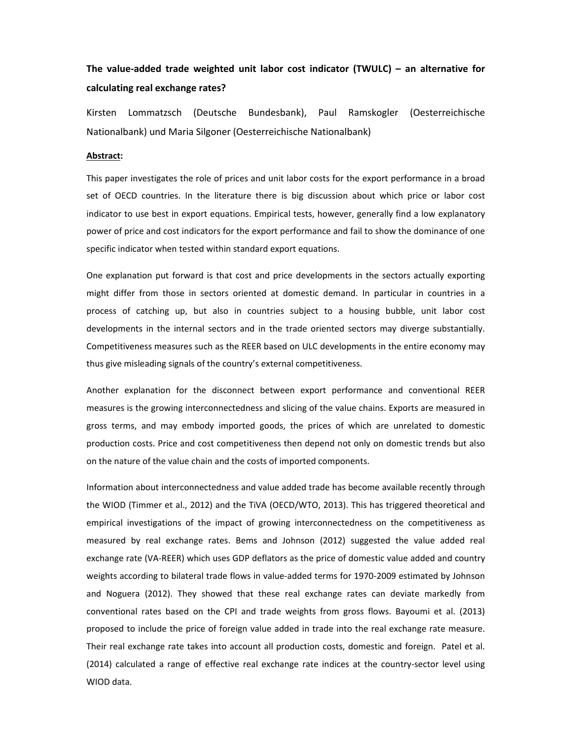## **The value‐added trade weighted unit labor cost indicator (TWULC) – an alternative for calculating real exchange rates?**

Kirsten Lommatzsch (Deutsche Bundesbank), Paul Ramskogler (Oesterreichische Nationalbank) und Maria Silgoner (Oesterreichische Nationalbank)

## **Abstract:**

This paper investigates the role of prices and unit labor costs for the export performance in a broad set of OECD countries. In the literature there is big discussion about which price or labor cost indicator to use best in export equations. Empirical tests, however, generally find a low explanatory power of price and cost indicators for the export performance and fail to show the dominance of one specific indicator when tested within standard export equations.

One explanation put forward is that cost and price developments in the sectors actually exporting might differ from those in sectors oriented at domestic demand. In particular in countries in a process of catching up, but also in countries subject to a housing bubble, unit labor cost developments in the internal sectors and in the trade oriented sectors may diverge substantially. Competitiveness measures such as the REER based on ULC developments in the entire economy may thus give misleading signals of the country's external competitiveness.

Another explanation for the disconnect between export performance and conventional REER measures is the growing interconnectedness and slicing of the value chains. Exports are measured in gross terms, and may embody imported goods, the prices of which are unrelated to domestic production costs. Price and cost competitiveness then depend not only on domestic trends but also on the nature of the value chain and the costs of imported components.

Information about interconnectedness and value added trade has become available recently through the WIOD (Timmer et al., 2012) and the TiVA (OECD/WTO, 2013). This has triggered theoretical and empirical investigations of the impact of growing interconnectedness on the competitiveness as measured by real exchange rates. Bems and Johnson (2012) suggested the value added real exchange rate (VA‐REER) which uses GDP deflators as the price of domestic value added and country weights according to bilateral trade flows in value‐added terms for 1970‐2009 estimated by Johnson and Noguera (2012). They showed that these real exchange rates can deviate markedly from conventional rates based on the CPI and trade weights from gross flows. Bayoumi et al. (2013) proposed to include the price of foreign value added in trade into the real exchange rate measure. Their real exchange rate takes into account all production costs, domestic and foreign. Patel et al. (2014) calculated a range of effective real exchange rate indices at the country‐sector level using WIOD data.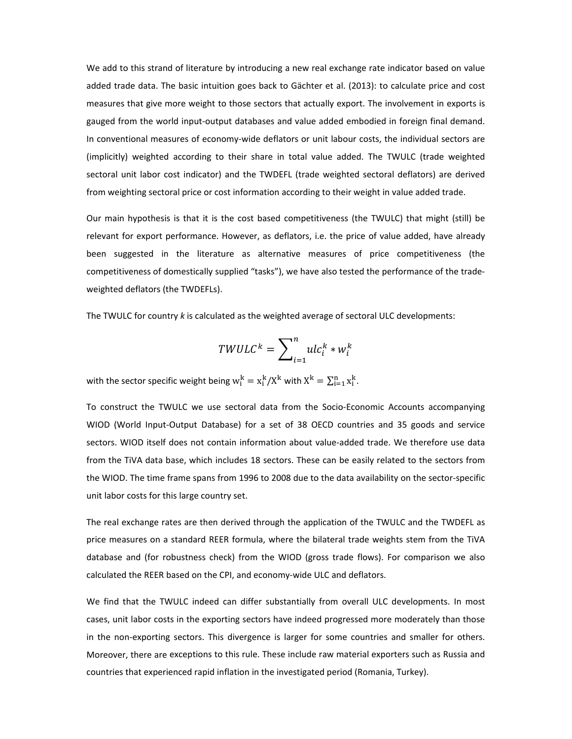We add to this strand of literature by introducing a new real exchange rate indicator based on value added trade data. The basic intuition goes back to Gächter et al. (2013): to calculate price and cost measures that give more weight to those sectors that actually export. The involvement in exports is gauged from the world input-output databases and value added embodied in foreign final demand. In conventional measures of economy-wide deflators or unit labour costs, the individual sectors are (implicitly) weighted according to their share in total value added. The TWULC (trade weighted sectoral unit labor cost indicator) and the TWDEFL (trade weighted sectoral deflators) are derived from weighting sectoral price or cost information according to their weight in value added trade.

Our main hypothesis is that it is the cost based competitiveness (the TWULC) that might (still) be relevant for export performance. However, as deflators, i.e. the price of value added, have already been suggested in the literature as alternative measures of price competitiveness (the competitiveness of domestically supplied "tasks"), we have also tested the performance of the trade‐ weighted deflators (the TWDEFLs).

The TWULC for country *k* is calculated as the weighted average of sectoral ULC developments:

$$
TWULC^{k} = \sum_{i=1}^{n} ulc_{i}^{k} * w_{i}^{k}
$$

with the sector specific weight being  $\mathrm{w}^\mathrm{k}_\mathrm{i} = \mathrm{x}^\mathrm{k}_\mathrm{i}/\mathrm{X}^\mathrm{k}$  with  $\mathrm{X}^\mathrm{k} = \sum_{\mathrm{i=1}}^\mathrm{n} \mathrm{x}^\mathrm{k}_\mathrm{i}$ .

To construct the TWULC we use sectoral data from the Socio‐Economic Accounts accompanying WIOD (World Input‐Output Database) for a set of 38 OECD countries and 35 goods and service sectors. WIOD itself does not contain information about value-added trade. We therefore use data from the TiVA data base, which includes 18 sectors. These can be easily related to the sectors from the WIOD. The time frame spans from 1996 to 2008 due to the data availability on the sector‐specific unit labor costs for this large country set.

The real exchange rates are then derived through the application of the TWULC and the TWDEFL as price measures on a standard REER formula, where the bilateral trade weights stem from the TiVA database and (for robustness check) from the WIOD (gross trade flows). For comparison we also calculated the REER based on the CPI, and economy‐wide ULC and deflators.

We find that the TWULC indeed can differ substantially from overall ULC developments. In most cases, unit labor costs in the exporting sectors have indeed progressed more moderately than those in the non‐exporting sectors. This divergence is larger for some countries and smaller for others. Moreover, there are exceptions to this rule. These include raw material exporters such as Russia and countries that experienced rapid inflation in the investigated period (Romania, Turkey).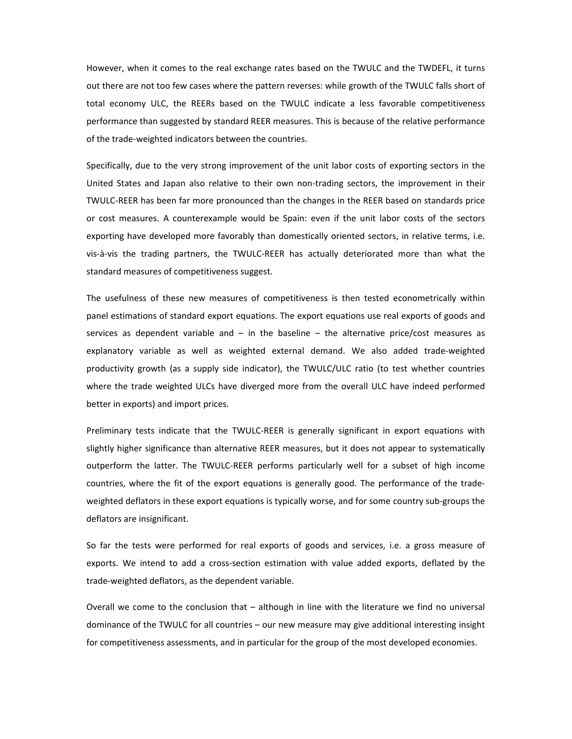However, when it comes to the real exchange rates based on the TWULC and the TWDEFL, it turns out there are not too few cases where the pattern reverses: while growth of the TWULC falls short of total economy ULC, the REERs based on the TWULC indicate a less favorable competitiveness performance than suggested by standard REER measures. This is because of the relative performance of the trade‐weighted indicators between the countries.

Specifically, due to the very strong improvement of the unit labor costs of exporting sectors in the United States and Japan also relative to their own non-trading sectors, the improvement in their TWULC‐REER has been far more pronounced than the changes in the REER based on standards price or cost measures. A counterexample would be Spain: even if the unit labor costs of the sectors exporting have developed more favorably than domestically oriented sectors, in relative terms, i.e. vis‐à‐vis the trading partners, the TWULC‐REER has actually deteriorated more than what the standard measures of competitiveness suggest.

The usefulness of these new measures of competitiveness is then tested econometrically within panel estimations of standard export equations. The export equations use real exports of goods and services as dependent variable and  $-$  in the baseline  $-$  the alternative price/cost measures as explanatory variable as well as weighted external demand. We also added trade‐weighted productivity growth (as a supply side indicator), the TWULC/ULC ratio (to test whether countries where the trade weighted ULCs have diverged more from the overall ULC have indeed performed better in exports) and import prices.

Preliminary tests indicate that the TWULC‐REER is generally significant in export equations with slightly higher significance than alternative REER measures, but it does not appear to systematically outperform the latter. The TWULC‐REER performs particularly well for a subset of high income countries, where the fit of the export equations is generally good. The performance of the trade‐ weighted deflators in these export equations is typically worse, and for some country sub-groups the deflators are insignificant.

So far the tests were performed for real exports of goods and services, i.e. a gross measure of exports. We intend to add a cross-section estimation with value added exports, deflated by the trade‐weighted deflators, as the dependent variable.

Overall we come to the conclusion that – although in line with the literature we find no universal dominance of the TWULC for all countries – our new measure may give additional interesting insight for competitiveness assessments, and in particular for the group of the most developed economies.